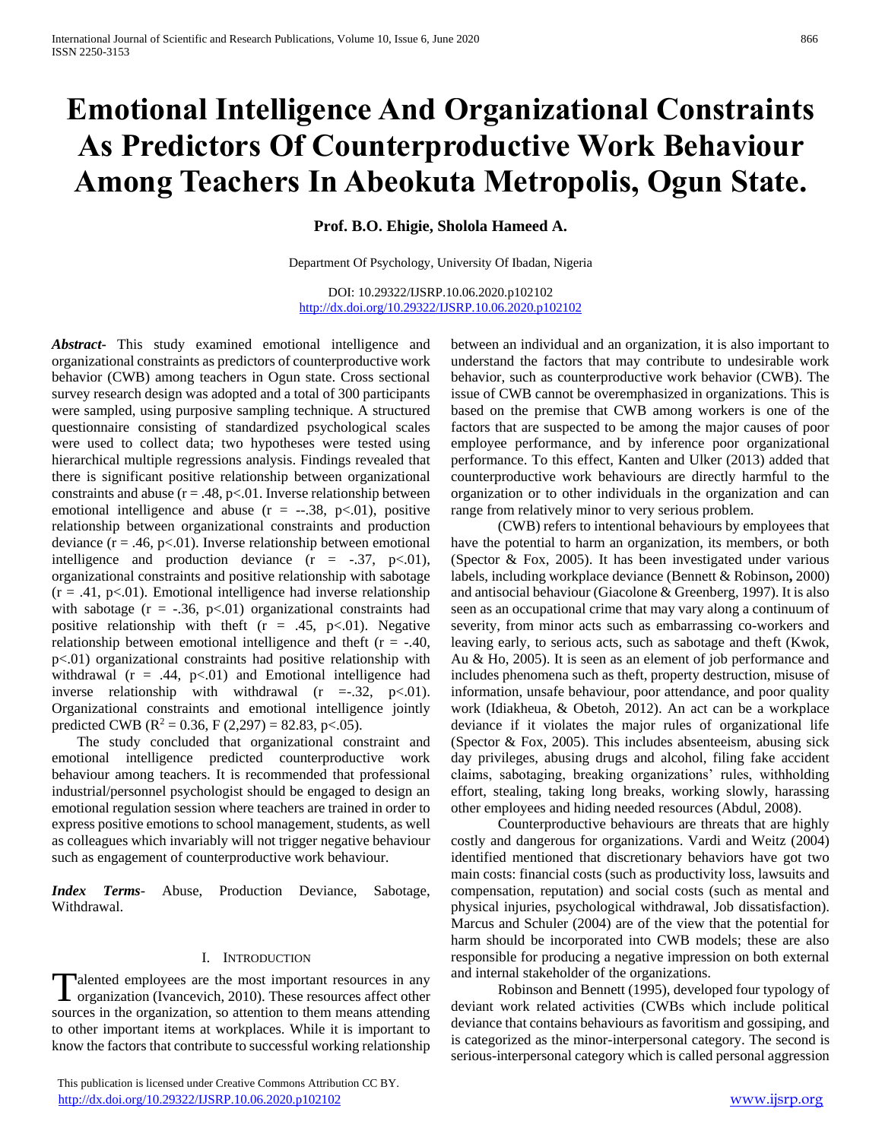# **Emotional Intelligence And Organizational Constraints As Predictors Of Counterproductive Work Behaviour Among Teachers In Abeokuta Metropolis, Ogun State.**

**Prof. B.O. Ehigie, Sholola Hameed A.**

Department Of Psychology, University Of Ibadan, Nigeria

DOI: 10.29322/IJSRP.10.06.2020.p102102 <http://dx.doi.org/10.29322/IJSRP.10.06.2020.p102102>

*Abstract***-** This study examined emotional intelligence and organizational constraints as predictors of counterproductive work behavior (CWB) among teachers in Ogun state. Cross sectional survey research design was adopted and a total of 300 participants were sampled, using purposive sampling technique. A structured questionnaire consisting of standardized psychological scales were used to collect data; two hypotheses were tested using hierarchical multiple regressions analysis. Findings revealed that there is significant positive relationship between organizational constraints and abuse  $(r = .48, p < .01$ . Inverse relationship between emotional intelligence and abuse  $(r = -.38, p < .01)$ , positive relationship between organizational constraints and production deviance  $(r = .46, p<.01)$ . Inverse relationship between emotional intelligence and production deviance  $(r = -.37, p < .01)$ , organizational constraints and positive relationship with sabotage  $(r = .41, p<.01)$ . Emotional intelligence had inverse relationship with sabotage  $(r = -.36, p < .01)$  organizational constraints had positive relationship with theft  $(r = .45, p<.01)$ . Negative relationship between emotional intelligence and theft  $(r = -.40, )$ p<.01) organizational constraints had positive relationship with withdrawal ( $r = .44$ ,  $p<01$ ) and Emotional intelligence had inverse relationship with withdrawal  $(r = .32, p < .01)$ . Organizational constraints and emotional intelligence jointly predicted CWB ( $R^2 = 0.36$ , F (2,297) = 82.83, p<.05).

 The study concluded that organizational constraint and emotional intelligence predicted counterproductive work behaviour among teachers. It is recommended that professional industrial/personnel psychologist should be engaged to design an emotional regulation session where teachers are trained in order to express positive emotions to school management, students, as well as colleagues which invariably will not trigger negative behaviour such as engagement of counterproductive work behaviour.

*Index Terms*- Abuse, Production Deviance, Sabotage, Withdrawal.

#### I. INTRODUCTION

alented employees are the most important resources in any Talented employees are the most important resources in any organization (Ivancevich, 2010). These resources affect other sources in the organization, so attention to them means attending to other important items at workplaces. While it is important to know the factors that contribute to successful working relationship

 This publication is licensed under Creative Commons Attribution CC BY. <http://dx.doi.org/10.29322/IJSRP.10.06.2020.p102102> [www.ijsrp.org](http://ijsrp.org/)

between an individual and an organization, it is also important to understand the factors that may contribute to undesirable work behavior, such as counterproductive work behavior (CWB). The issue of CWB cannot be overemphasized in organizations. This is based on the premise that CWB among workers is one of the factors that are suspected to be among the major causes of poor employee performance, and by inference poor organizational performance. To this effect, Kanten and Ulker (2013) added that counterproductive work behaviours are directly harmful to the organization or to other individuals in the organization and can range from relatively minor to very serious problem.

 (CWB) refers to intentional behaviours by employees that have the potential to harm an organization, its members, or both (Spector & Fox, 2005). It has been investigated under various labels, including workplace deviance (Bennett & Robinson**,** 2000) and antisocial behaviour (Giacolone & Greenberg, 1997). It is also seen as an occupational crime that may vary along a continuum of severity, from minor acts such as embarrassing co-workers and leaving early, to serious acts, such as sabotage and theft (Kwok, Au & Ho, 2005). It is seen as an element of job performance and includes phenomena such as theft, property destruction, misuse of information, unsafe behaviour, poor attendance, and poor quality work (Idiakheua, & Obetoh, 2012). An act can be a workplace deviance if it violates the major rules of organizational life (Spector & Fox, 2005). This includes absenteeism, abusing sick day privileges, abusing drugs and alcohol, filing fake accident claims, sabotaging, breaking organizations' rules, withholding effort, stealing, taking long breaks, working slowly, harassing other employees and hiding needed resources (Abdul, 2008).

 Counterproductive behaviours are threats that are highly costly and dangerous for organizations. Vardi and Weitz (2004) identified mentioned that discretionary behaviors have got two main costs: financial costs (such as productivity loss, lawsuits and compensation, reputation) and social costs (such as mental and physical injuries, psychological withdrawal, Job dissatisfaction). Marcus and Schuler (2004) are of the view that the potential for harm should be incorporated into CWB models; these are also responsible for producing a negative impression on both external and internal stakeholder of the organizations.

 Robinson and Bennett (1995), developed four typology of deviant work related activities (CWBs which include political deviance that contains behaviours as favoritism and gossiping, and is categorized as the minor-interpersonal category. The second is serious-interpersonal category which is called personal aggression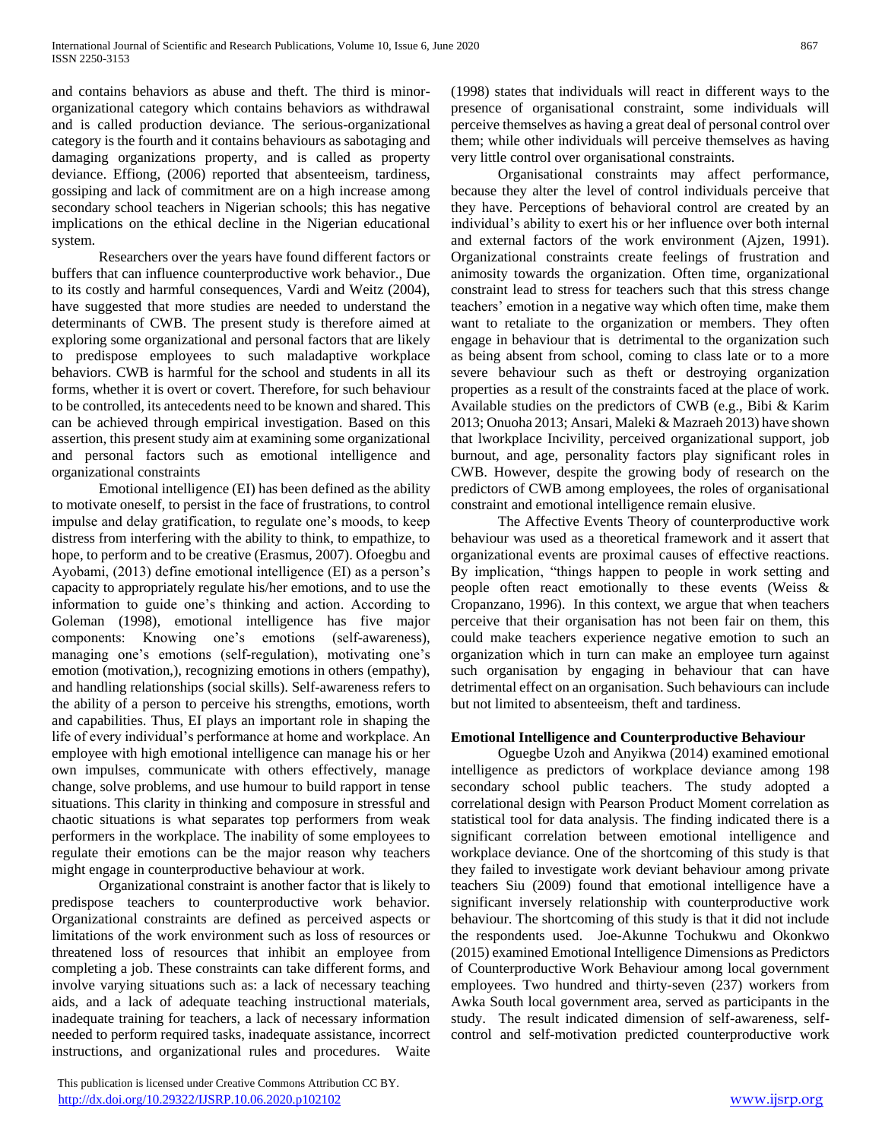and contains behaviors as abuse and theft. The third is minororganizational category which contains behaviors as withdrawal and is called production deviance. The serious-organizational category is the fourth and it contains behaviours as sabotaging and damaging organizations property, and is called as property deviance. Effiong, (2006) reported that absenteeism, tardiness, gossiping and lack of commitment are on a high increase among secondary school teachers in Nigerian schools; this has negative implications on the ethical decline in the Nigerian educational system.

 Researchers over the years have found different factors or buffers that can influence counterproductive work behavior., Due to its costly and harmful consequences, Vardi and Weitz (2004), have suggested that more studies are needed to understand the determinants of CWB. The present study is therefore aimed at exploring some organizational and personal factors that are likely to predispose employees to such maladaptive workplace behaviors. CWB is harmful for the school and students in all its forms, whether it is overt or covert. Therefore, for such behaviour to be controlled, its antecedents need to be known and shared. This can be achieved through empirical investigation. Based on this assertion, this present study aim at examining some organizational and personal factors such as emotional intelligence and organizational constraints

 Emotional intelligence (EI) has been defined as the ability to motivate oneself, to persist in the face of frustrations, to control impulse and delay gratification, to regulate one's moods, to keep distress from interfering with the ability to think, to empathize, to hope, to perform and to be creative (Erasmus, 2007). Ofoegbu and Ayobami, (2013) define emotional intelligence (EI) as a person's capacity to appropriately regulate his/her emotions, and to use the information to guide one's thinking and action. According to Goleman (1998), emotional intelligence has five major components: Knowing one's emotions (self-awareness), managing one's emotions (self-regulation), motivating one's emotion (motivation,), recognizing emotions in others (empathy), and handling relationships (social skills). Self-awareness refers to the ability of a person to perceive his strengths, emotions, worth and capabilities. Thus, EI plays an important role in shaping the life of every individual's performance at home and workplace. An employee with high emotional intelligence can manage his or her own impulses, communicate with others effectively, manage change, solve problems, and use humour to build rapport in tense situations. This clarity in thinking and composure in stressful and chaotic situations is what separates top performers from weak performers in the workplace. The inability of some employees to regulate their emotions can be the major reason why teachers might engage in counterproductive behaviour at work.

 Organizational constraint is another factor that is likely to predispose teachers to counterproductive work behavior. Organizational constraints are defined as perceived aspects or limitations of the work environment such as loss of resources or threatened loss of resources that inhibit an employee from completing a job. These constraints can take different forms, and involve varying situations such as: a lack of necessary teaching aids, and a lack of adequate teaching instructional materials, inadequate training for teachers, a lack of necessary information needed to perform required tasks, inadequate assistance, incorrect instructions, and organizational rules and procedures. Waite

 This publication is licensed under Creative Commons Attribution CC BY. <http://dx.doi.org/10.29322/IJSRP.10.06.2020.p102102> [www.ijsrp.org](http://ijsrp.org/)

(1998) states that individuals will react in different ways to the presence of organisational constraint, some individuals will perceive themselves as having a great deal of personal control over them; while other individuals will perceive themselves as having very little control over organisational constraints.

 Organisational constraints may affect performance, because they alter the level of control individuals perceive that they have. Perceptions of behavioral control are created by an individual's ability to exert his or her influence over both internal and external factors of the work environment (Ajzen, 1991). Organizational constraints create feelings of frustration and animosity towards the organization. Often time, organizational constraint lead to stress for teachers such that this stress change teachers' emotion in a negative way which often time, make them want to retaliate to the organization or members. They often engage in behaviour that is detrimental to the organization such as being absent from school, coming to class late or to a more severe behaviour such as theft or destroying organization properties as a result of the constraints faced at the place of work. Available studies on the predictors of CWB (e.g., Bibi & Karim 2013; Onuoha 2013; Ansari, Maleki & Mazraeh 2013) have shown that lworkplace Incivility, perceived organizational support, job burnout, and age, personality factors play significant roles in CWB. However, despite the growing body of research on the predictors of CWB among employees, the roles of organisational constraint and emotional intelligence remain elusive.

 The Affective Events Theory of counterproductive work behaviour was used as a theoretical framework and it assert that organizational events are proximal causes of effective reactions. By implication, "things happen to people in work setting and people often react emotionally to these events (Weiss & Cropanzano, 1996). In this context, we argue that when teachers perceive that their organisation has not been fair on them, this could make teachers experience negative emotion to such an organization which in turn can make an employee turn against such organisation by engaging in behaviour that can have detrimental effect on an organisation. Such behaviours can include but not limited to absenteeism, theft and tardiness.

#### **Emotional Intelligence and Counterproductive Behaviour**

 Oguegbe Uzoh and Anyikwa (2014) examined emotional intelligence as predictors of workplace deviance among 198 secondary school public teachers. The study adopted a correlational design with Pearson Product Moment correlation as statistical tool for data analysis. The finding indicated there is a significant correlation between emotional intelligence and workplace deviance. One of the shortcoming of this study is that they failed to investigate work deviant behaviour among private teachers Siu (2009) found that emotional intelligence have a significant inversely relationship with counterproductive work behaviour. The shortcoming of this study is that it did not include the respondents used. Joe-Akunne Tochukwu and Okonkwo (2015) examined Emotional Intelligence Dimensions as Predictors of Counterproductive Work Behaviour among local government employees. Two hundred and thirty-seven (237) workers from Awka South local government area, served as participants in the study. The result indicated dimension of self-awareness, selfcontrol and self-motivation predicted counterproductive work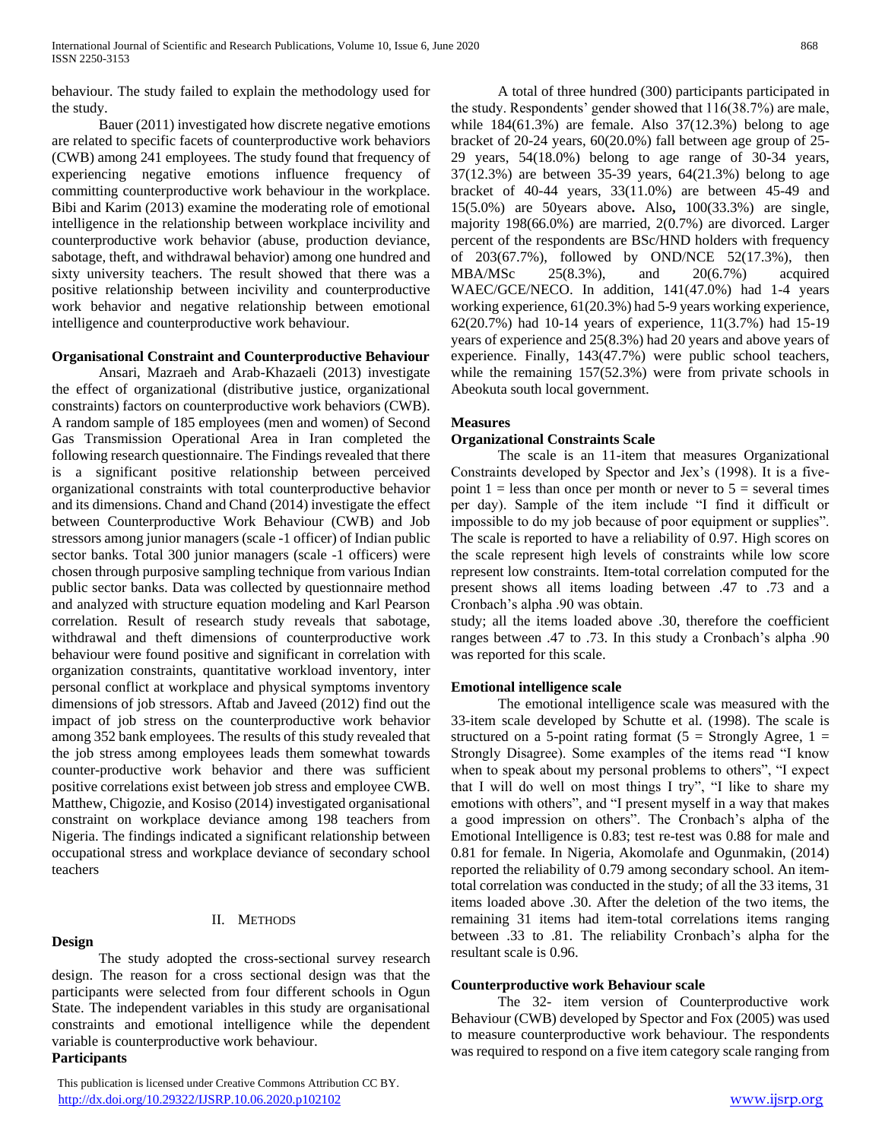behaviour. The study failed to explain the methodology used for the study.

 Bauer (2011) investigated how discrete negative emotions are related to specific facets of counterproductive work behaviors (CWB) among 241 employees. The study found that frequency of experiencing negative emotions influence frequency of committing counterproductive work behaviour in the workplace. Bibi and Karim (2013) examine the moderating role of emotional intelligence in the relationship between workplace incivility and counterproductive work behavior (abuse, production deviance, sabotage, theft, and withdrawal behavior) among one hundred and sixty university teachers. The result showed that there was a positive relationship between incivility and counterproductive work behavior and negative relationship between emotional intelligence and counterproductive work behaviour.

## **Organisational Constraint and Counterproductive Behaviour**

 Ansari, Mazraeh and Arab-Khazaeli (2013) investigate the effect of organizational (distributive justice, organizational constraints) factors on counterproductive work behaviors (CWB). A random sample of 185 employees (men and women) of Second Gas Transmission Operational Area in Iran completed the following research questionnaire. The Findings revealed that there is a significant positive relationship between perceived organizational constraints with total counterproductive behavior and its dimensions. Chand and Chand (2014) investigate the effect between Counterproductive Work Behaviour (CWB) and Job stressors among junior managers (scale -1 officer) of Indian public sector banks. Total 300 junior managers (scale -1 officers) were chosen through purposive sampling technique from various Indian public sector banks. Data was collected by questionnaire method and analyzed with structure equation modeling and Karl Pearson correlation. Result of research study reveals that sabotage, withdrawal and theft dimensions of counterproductive work behaviour were found positive and significant in correlation with organization constraints, quantitative workload inventory, inter personal conflict at workplace and physical symptoms inventory dimensions of job stressors. Aftab and Javeed (2012) find out the impact of job stress on the counterproductive work behavior among 352 bank employees. The results of this study revealed that the job stress among employees leads them somewhat towards counter-productive work behavior and there was sufficient positive correlations exist between job stress and employee CWB. Matthew, Chigozie, and Kosiso (2014) investigated organisational constraint on workplace deviance among 198 teachers from Nigeria. The findings indicated a significant relationship between occupational stress and workplace deviance of secondary school teachers

# **Design**

# II. METHODS

 The study adopted the cross-sectional survey research design. The reason for a cross sectional design was that the participants were selected from four different schools in Ogun State. The independent variables in this study are organisational constraints and emotional intelligence while the dependent variable is counterproductive work behaviour.

# **Participants**

 This publication is licensed under Creative Commons Attribution CC BY. <http://dx.doi.org/10.29322/IJSRP.10.06.2020.p102102> [www.ijsrp.org](http://ijsrp.org/)

 A total of three hundred (300) participants participated in the study. Respondents' gender showed that 116(38.7%) are male, while  $184(61.3\%)$  are female. Also  $37(12.3\%)$  belong to age bracket of 20-24 years, 60(20.0%) fall between age group of 25- 29 years, 54(18.0%) belong to age range of 30-34 years, 37(12.3%) are between 35-39 years, 64(21.3%) belong to age bracket of 40-44 years, 33(11.0%) are between 45-49 and 15(5.0%) are 50years above**.** Also**,** 100(33.3%) are single, majority 198(66.0%) are married, 2(0.7%) are divorced. Larger percent of the respondents are BSc/HND holders with frequency of 203(67.7%), followed by OND/NCE 52(17.3%), then MBA/MSc 25(8.3%), and 20(6.7%) acquired WAEC/GCE/NECO. In addition, 141(47.0%) had 1-4 years working experience, 61(20.3%) had 5-9 years working experience, 62(20.7%) had 10-14 years of experience, 11(3.7%) had 15-19 years of experience and 25(8.3%) had 20 years and above years of experience. Finally, 143(47.7%) were public school teachers, while the remaining 157(52.3%) were from private schools in Abeokuta south local government.

## **Measures**

## **Organizational Constraints Scale**

 The scale is an 11-item that measures Organizational Constraints developed by Spector and Jex's (1998). It is a fivepoint  $1 =$  less than once per month or never to  $5 =$  several times per day). Sample of the item include "I find it difficult or impossible to do my job because of poor equipment or supplies". The scale is reported to have a reliability of 0.97. High scores on the scale represent high levels of constraints while low score represent low constraints. Item-total correlation computed for the present shows all items loading between .47 to .73 and a Cronbach's alpha .90 was obtain.

study; all the items loaded above .30, therefore the coefficient ranges between .47 to .73. In this study a Cronbach's alpha .90 was reported for this scale.

# **Emotional intelligence scale**

 The emotional intelligence scale was measured with the 33-item scale developed by Schutte et al. (1998). The scale is structured on a 5-point rating format ( $5 =$  Strongly Agree,  $1 =$ Strongly Disagree). Some examples of the items read "I know when to speak about my personal problems to others", "I expect that I will do well on most things I try", "I like to share my emotions with others", and "I present myself in a way that makes a good impression on others". The Cronbach's alpha of the Emotional Intelligence is 0.83; test re-test was 0.88 for male and 0.81 for female. In Nigeria, Akomolafe and Ogunmakin, (2014) reported the reliability of 0.79 among secondary school. An itemtotal correlation was conducted in the study; of all the 33 items, 31 items loaded above .30. After the deletion of the two items, the remaining 31 items had item-total correlations items ranging between .33 to .81. The reliability Cronbach's alpha for the resultant scale is 0.96.

#### **Counterproductive work Behaviour scale**

 The 32- item version of Counterproductive work Behaviour (CWB) developed by Spector and Fox (2005) was used to measure counterproductive work behaviour. The respondents was required to respond on a five item category scale ranging from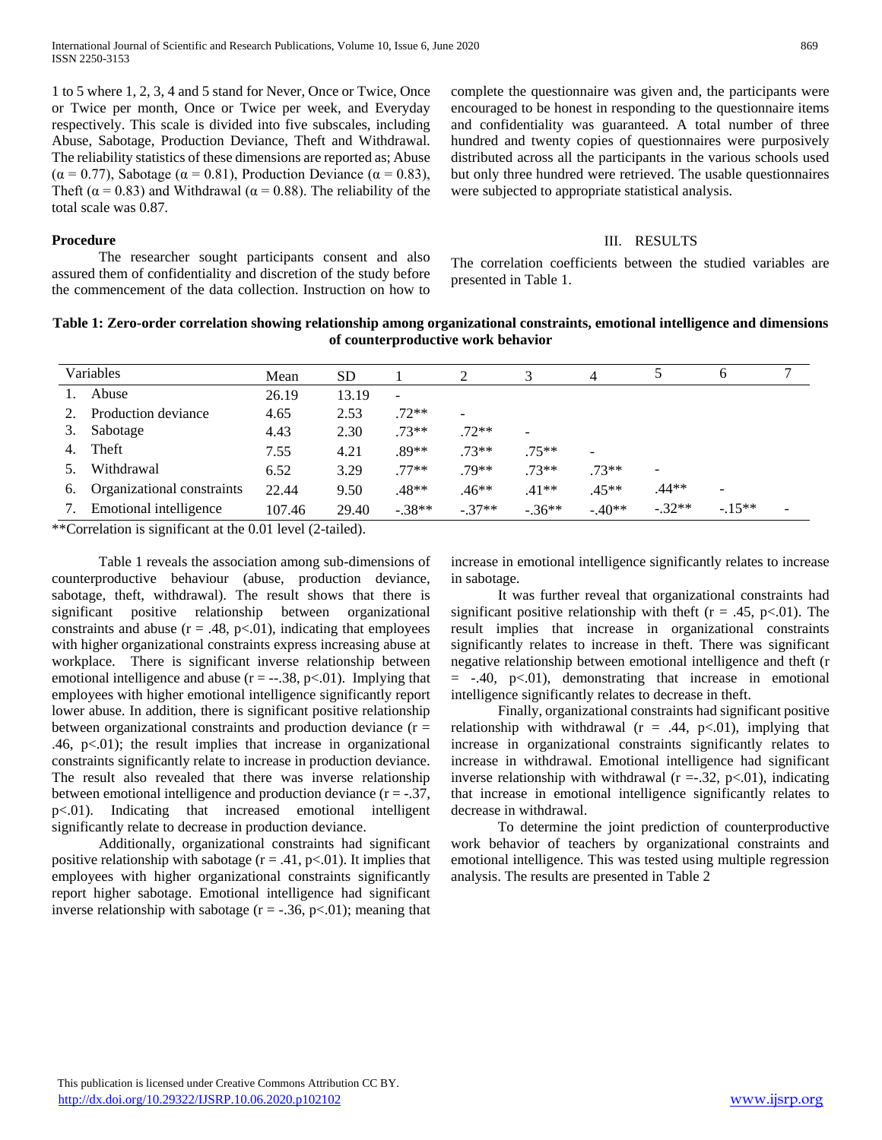1 to 5 where 1, 2, 3, 4 and 5 stand for Never, Once or Twice, Once or Twice per month, Once or Twice per week, and Everyday respectively. This scale is divided into five subscales, including Abuse, Sabotage, Production Deviance, Theft and Withdrawal. The reliability statistics of these dimensions are reported as; Abuse ( $\alpha$  = 0.77), Sabotage ( $\alpha$  = 0.81), Production Deviance ( $\alpha$  = 0.83), Theft ( $\alpha$  = 0.83) and Withdrawal ( $\alpha$  = 0.88). The reliability of the total scale was 0.87.

#### **Procedure**

 The researcher sought participants consent and also assured them of confidentiality and discretion of the study before the commencement of the data collection. Instruction on how to complete the questionnaire was given and, the participants were encouraged to be honest in responding to the questionnaire items and confidentiality was guaranteed. A total number of three hundred and twenty copies of questionnaires were purposively distributed across all the participants in the various schools used but only three hundred were retrieved. The usable questionnaires were subjected to appropriate statistical analysis.

#### III. RESULTS

The correlation coefficients between the studied variables are presented in Table 1.

# **Table 1: Zero-order correlation showing relationship among organizational constraints, emotional intelligence and dimensions of counterproductive work behavior**

| Variables |                            | Mean   | <b>SD</b> |                          | 2        |          | 4        |                          | 6        |  |
|-----------|----------------------------|--------|-----------|--------------------------|----------|----------|----------|--------------------------|----------|--|
|           | Abuse                      | 26.19  | 13.19     | $\overline{\phantom{a}}$ |          |          |          |                          |          |  |
|           | Production deviance        | 4.65   | 2.53      | $.72**$                  |          |          |          |                          |          |  |
|           | Sabotage                   | 4.43   | 2.30      | $.73**$                  | $.72**$  | -        |          |                          |          |  |
|           | Theft                      | 7.55   | 4.21      | .89**                    | $.73**$  | $.75**$  |          |                          |          |  |
|           | Withdrawal                 | 6.52   | 3.29      | $.77**$                  | $79**$   | $.73**$  | $.73**$  | $\overline{\phantom{a}}$ |          |  |
| 6.        | Organizational constraints | 22.44  | 9.50      | .48**                    | $.46**$  | $.41**$  | $.45**$  | .44**                    |          |  |
|           | Emotional intelligence     | 107.46 | 29.40     | $-.38**$                 | $-.37**$ | $-.36**$ | $-.40**$ | $-.32**$                 | $-.15**$ |  |

\*\*Correlation is significant at the 0.01 level (2-tailed).

 Table 1 reveals the association among sub-dimensions of counterproductive behaviour (abuse, production deviance, sabotage, theft, withdrawal). The result shows that there is significant positive relationship between organizational constraints and abuse  $(r = .48, p < .01)$ , indicating that employees with higher organizational constraints express increasing abuse at workplace. There is significant inverse relationship between emotional intelligence and abuse  $(r = -.38, p < .01)$ . Implying that employees with higher emotional intelligence significantly report lower abuse. In addition, there is significant positive relationship between organizational constraints and production deviance  $(r =$ .46,  $p<.01$ ); the result implies that increase in organizational constraints significantly relate to increase in production deviance. The result also revealed that there was inverse relationship between emotional intelligence and production deviance  $(r = -.37)$ , p<.01). Indicating that increased emotional intelligent significantly relate to decrease in production deviance.

 Additionally, organizational constraints had significant positive relationship with sabotage  $(r = .41, p < .01)$ . It implies that employees with higher organizational constraints significantly report higher sabotage. Emotional intelligence had significant inverse relationship with sabotage  $(r = -.36, p < .01)$ ; meaning that increase in emotional intelligence significantly relates to increase in sabotage.

 It was further reveal that organizational constraints had significant positive relationship with the ft  $(r = .45, p<.01)$ . The result implies that increase in organizational constraints significantly relates to increase in theft. There was significant negative relationship between emotional intelligence and theft (r  $= -.40, p<.01$ , demonstrating that increase in emotional intelligence significantly relates to decrease in theft.

 Finally, organizational constraints had significant positive relationship with withdrawal  $(r = .44, p<.01)$ , implying that increase in organizational constraints significantly relates to increase in withdrawal. Emotional intelligence had significant inverse relationship with withdrawal  $(r = .32, p < .01)$ , indicating that increase in emotional intelligence significantly relates to decrease in withdrawal.

 To determine the joint prediction of counterproductive work behavior of teachers by organizational constraints and emotional intelligence. This was tested using multiple regression analysis. The results are presented in Table 2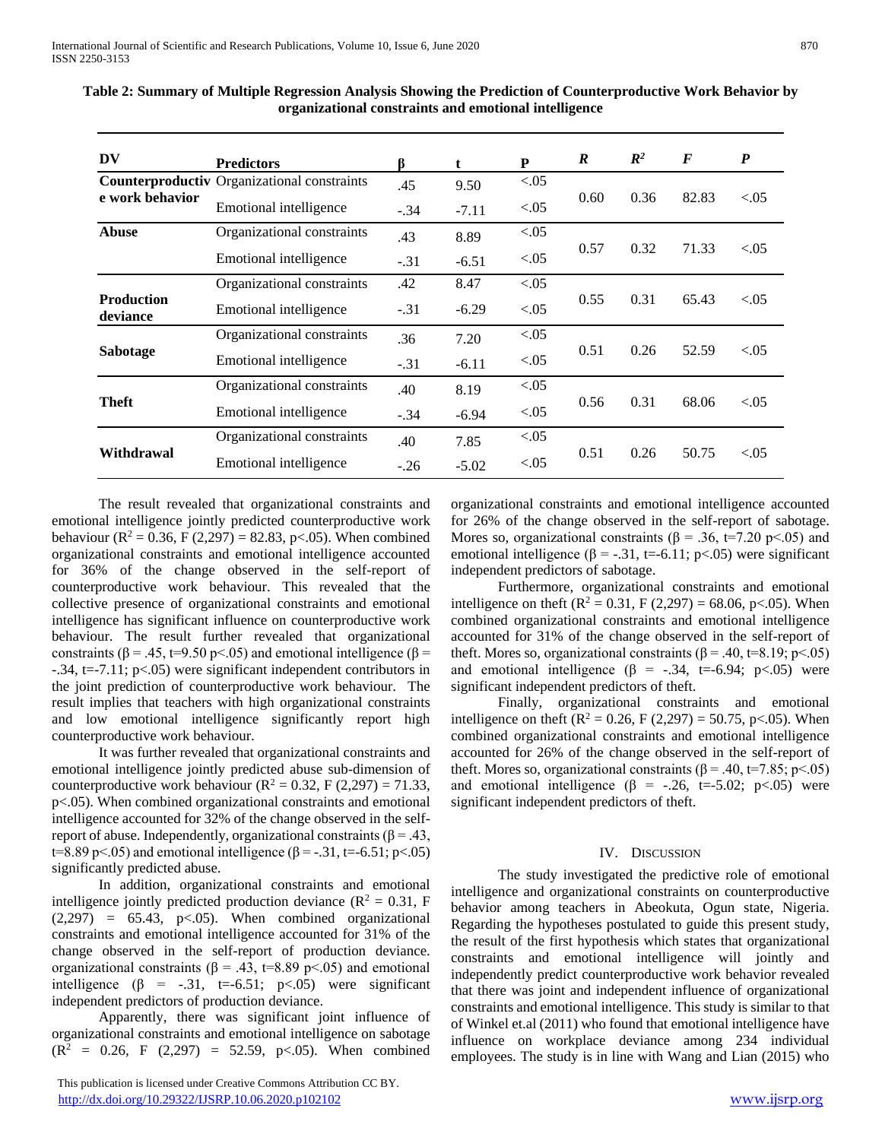| DV                            | <b>Predictors</b>                                  | ß      | t       | ${\bf P}$ | $\boldsymbol{R}$ | $\mathbb{R}^2$ | $\bm{F}$ | $\boldsymbol{P}$ |
|-------------------------------|----------------------------------------------------|--------|---------|-----------|------------------|----------------|----------|------------------|
|                               | <b>Counterproductiv Organizational constraints</b> | .45    | 9.50    | < 0.05    |                  | 0.36           |          | ${<}0.05$        |
| e work behavior               | Emotional intelligence                             | $-.34$ | $-7.11$ | < 0.05    | 0.60             |                | 82.83    |                  |
| <b>Abuse</b>                  | Organizational constraints                         | .43    | 8.89    | < 0.05    | 0.57             | 0.32           | 71.33    | ${<}0.05$        |
|                               | Emotional intelligence                             | $-.31$ | $-6.51$ | < 0.05    |                  |                |          |                  |
|                               | Organizational constraints                         | .42    | 8.47    | < 0.05    |                  |                |          |                  |
| <b>Production</b><br>deviance | Emotional intelligence                             | $-.31$ | $-6.29$ | < 0.05    | 0.55             | 0.31           | 65.43    | < 0.05           |
|                               | Organizational constraints                         | .36    | 7.20    | < 0.05    | 0.51             | 0.26           | 52.59    | < 0.05           |
| Sabotage                      | Emotional intelligence                             | $-.31$ | $-6.11$ | < 0.05    |                  |                |          |                  |
|                               | Organizational constraints                         | .40    | 8.19    | < 0.05    |                  | 0.31           |          |                  |
| <b>Theft</b>                  | Emotional intelligence                             | $-.34$ | $-6.94$ | < 0.05    | 0.56             |                | 68.06    | ${<}0.05$        |
|                               | Organizational constraints                         | .40    | 7.85    | < 0.05    | 0.51             | 0.26           |          |                  |
| Withdrawal                    | Emotional intelligence                             | $-.26$ | $-5.02$ | < 0.05    |                  |                | 50.75    | < 0.05           |

**Table 2: Summary of Multiple Regression Analysis Showing the Prediction of Counterproductive Work Behavior by organizational constraints and emotional intelligence**

 The result revealed that organizational constraints and emotional intelligence jointly predicted counterproductive work behaviour ( $R^2 = 0.36$ , F (2,297) = 82.83, p < 0.05). When combined organizational constraints and emotional intelligence accounted for 36% of the change observed in the self-report of counterproductive work behaviour. This revealed that the collective presence of organizational constraints and emotional intelligence has significant influence on counterproductive work behaviour. The result further revealed that organizational constraints ( $\beta$  = .45, t=9.50 p < .05) and emotional intelligence ( $\beta$  = -.34, t=-7.11; p<.05) were significant independent contributors in the joint prediction of counterproductive work behaviour. The result implies that teachers with high organizational constraints and low emotional intelligence significantly report high counterproductive work behaviour.

 It was further revealed that organizational constraints and emotional intelligence jointly predicted abuse sub-dimension of counterproductive work behaviour ( $R^2 = 0.32$ , F (2,297) = 71.33, p<.05). When combined organizational constraints and emotional intelligence accounted for 32% of the change observed in the selfreport of abuse. Independently, organizational constraints ( $β = .43$ , t=8.89 p <.05) and emotional intelligence (β = -.31, t=-6.51; p <.05) significantly predicted abuse.

 In addition, organizational constraints and emotional intelligence jointly predicted production deviance ( $\mathbb{R}^2 = 0.31$ , F  $(2,297) = 65.43$ , p<.05). When combined organizational constraints and emotional intelligence accounted for 31% of the change observed in the self-report of production deviance. organizational constraints ( $\beta$  = .43, t=8.89 p < .05) and emotional intelligence  $(\beta = -.31, t=.651; p<.05)$  were significant independent predictors of production deviance.

 Apparently, there was significant joint influence of organizational constraints and emotional intelligence on sabotage  $(R<sup>2</sup> = 0.26, F (2,297) = 52.59, p<0.05)$ . When combined

organizational constraints and emotional intelligence accounted for 26% of the change observed in the self-report of sabotage. Mores so, organizational constraints ( $\beta = .36$ , t=7.20 p<.05) and emotional intelligence ( $\beta$  = -.31, t=-6.11; p<.05) were significant independent predictors of sabotage.

 Furthermore, organizational constraints and emotional intelligence on theft  $(R^2 = 0.31, F(2.297) = 68.06, p < 0.05)$ . When combined organizational constraints and emotional intelligence accounted for 31% of the change observed in the self-report of theft. Mores so, organizational constraints  $(\beta = .40, t=8.19; p<.05)$ and emotional intelligence ( $\beta$  = -.34, t=-6.94; p<.05) were significant independent predictors of theft.

 Finally, organizational constraints and emotional intelligence on theft ( $R^2 = 0.26$ , F (2,297) = 50.75, p<.05). When combined organizational constraints and emotional intelligence accounted for 26% of the change observed in the self-report of theft. Mores so, organizational constraints ( $\beta$  = .40, t=7.85; p<.05) and emotional intelligence ( $\beta$  = -.26, t=-5.02; p<.05) were significant independent predictors of theft.

#### IV. DISCUSSION

 The study investigated the predictive role of emotional intelligence and organizational constraints on counterproductive behavior among teachers in Abeokuta, Ogun state, Nigeria. Regarding the hypotheses postulated to guide this present study, the result of the first hypothesis which states that organizational constraints and emotional intelligence will jointly and independently predict counterproductive work behavior revealed that there was joint and independent influence of organizational constraints and emotional intelligence. This study is similar to that of Winkel et.al (2011) who found that emotional intelligence have influence on workplace deviance among 234 individual employees. The study is in line with Wang and Lian (2015) who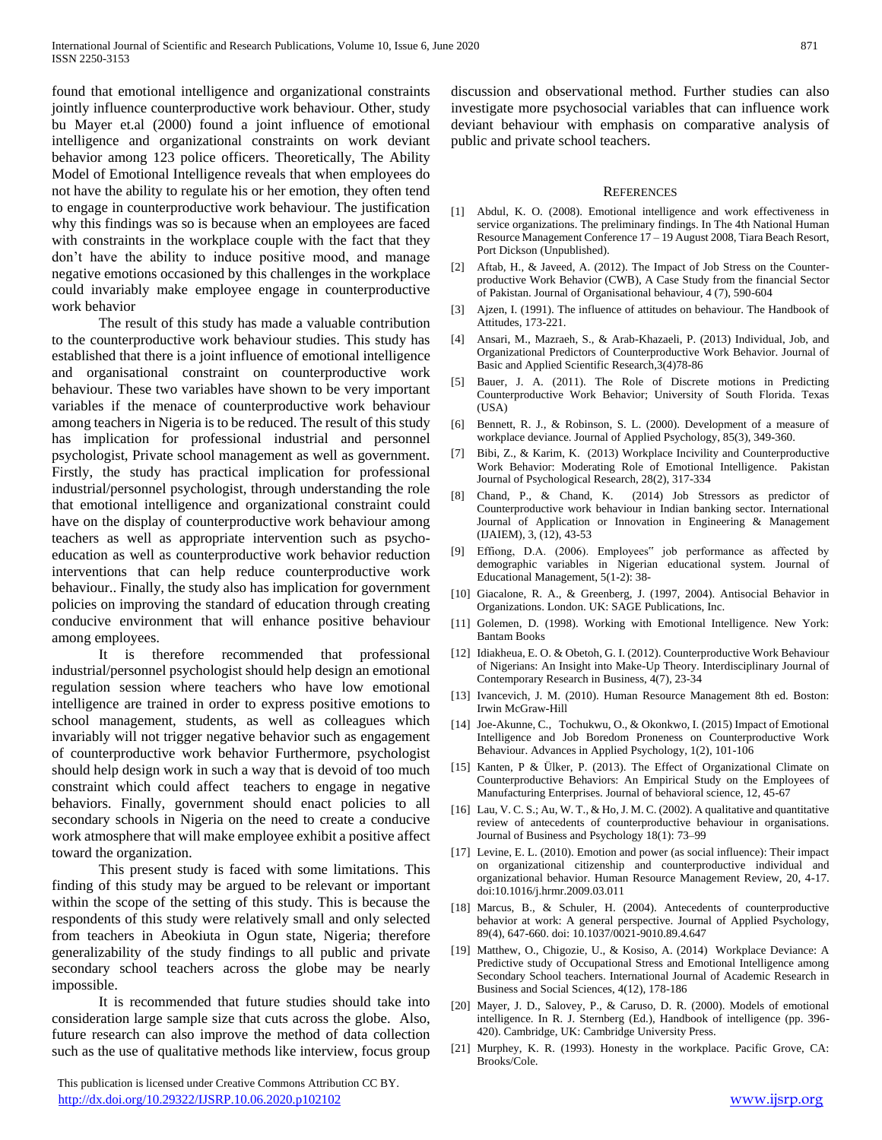found that emotional intelligence and organizational constraints jointly influence counterproductive work behaviour. Other, study bu Mayer et.al (2000) found a joint influence of emotional intelligence and organizational constraints on work deviant behavior among 123 police officers. Theoretically, The Ability Model of Emotional Intelligence reveals that when employees do not have the ability to regulate his or her emotion, they often tend to engage in counterproductive work behaviour. The justification why this findings was so is because when an employees are faced with constraints in the workplace couple with the fact that they don't have the ability to induce positive mood, and manage negative emotions occasioned by this challenges in the workplace could invariably make employee engage in counterproductive work behavior

 The result of this study has made a valuable contribution to the counterproductive work behaviour studies. This study has established that there is a joint influence of emotional intelligence and organisational constraint on counterproductive work behaviour. These two variables have shown to be very important variables if the menace of counterproductive work behaviour among teachers in Nigeria is to be reduced. The result of this study has implication for professional industrial and personnel psychologist, Private school management as well as government. Firstly, the study has practical implication for professional industrial/personnel psychologist, through understanding the role that emotional intelligence and organizational constraint could have on the display of counterproductive work behaviour among teachers as well as appropriate intervention such as psychoeducation as well as counterproductive work behavior reduction interventions that can help reduce counterproductive work behaviour.. Finally, the study also has implication for government policies on improving the standard of education through creating conducive environment that will enhance positive behaviour among employees.

 It is therefore recommended that professional industrial/personnel psychologist should help design an emotional regulation session where teachers who have low emotional intelligence are trained in order to express positive emotions to school management, students, as well as colleagues which invariably will not trigger negative behavior such as engagement of counterproductive work behavior Furthermore, psychologist should help design work in such a way that is devoid of too much constraint which could affect teachers to engage in negative behaviors. Finally, government should enact policies to all secondary schools in Nigeria on the need to create a conducive work atmosphere that will make employee exhibit a positive affect toward the organization.

 This present study is faced with some limitations. This finding of this study may be argued to be relevant or important within the scope of the setting of this study. This is because the respondents of this study were relatively small and only selected from teachers in Abeokiuta in Ogun state, Nigeria; therefore generalizability of the study findings to all public and private secondary school teachers across the globe may be nearly impossible.

 It is recommended that future studies should take into consideration large sample size that cuts across the globe. Also, future research can also improve the method of data collection such as the use of qualitative methods like interview, focus group

 This publication is licensed under Creative Commons Attribution CC BY. <http://dx.doi.org/10.29322/IJSRP.10.06.2020.p102102> [www.ijsrp.org](http://ijsrp.org/)

discussion and observational method. Further studies can also investigate more psychosocial variables that can influence work deviant behaviour with emphasis on comparative analysis of public and private school teachers.

#### **REFERENCES**

- [1] Abdul, K. O. (2008). Emotional intelligence and work effectiveness in service organizations. The preliminary findings. In The 4th National Human Resource Management Conference 17 – 19 August 2008, Tiara Beach Resort, Port Dickson (Unpublished).
- [2] Aftab, H., & Javeed, A. (2012). The Impact of Job Stress on the Counterproductive Work Behavior (CWB), A Case Study from the financial Sector of Pakistan. Journal of Organisational behaviour, 4 (7), 590-604
- [3] Ajzen, I. (1991). The influence of attitudes on behaviour. The Handbook of Attitudes, 173-221.
- [4] Ansari, M., Mazraeh, S., & Arab-Khazaeli, P. (2013) Individual, Job, and Organizational Predictors of Counterproductive Work Behavior. Journal of Basic and Applied Scientific Research,3(4)78-86
- [5] Bauer, J. A. (2011). The Role of Discrete motions in Predicting Counterproductive Work Behavior; University of South Florida. Texas (USA)
- [6] Bennett, R. J., & Robinson, S. L. (2000). Development of a measure of workplace deviance. Journal of Applied Psychology, 85(3), 349-360.
- [7] Bibi, Z., & Karim, K. (2013) Workplace Incivility and Counterproductive Work Behavior: Moderating Role of Emotional Intelligence. Pakistan Journal of Psychological Research, 28(2), 317-334
- [8] Chand, P., & Chand, K. (2014) Job Stressors as predictor of Counterproductive work behaviour in Indian banking sector. International Journal of Application or Innovation in Engineering & Management (IJAIEM), 3, (12), 43-53
- [9] Effiong, D.A. (2006). Employees" job performance as affected by demographic variables in Nigerian educational system. Journal of Educational Management, 5(1-2): 38-
- [10] Giacalone, R. A., & Greenberg, J. (1997, 2004). Antisocial Behavior in Organizations. London. UK: SAGE Publications, Inc.
- [11] Golemen, D. (1998). Working with Emotional Intelligence. New York: Bantam Books
- [12] Idiakheua, E. O. & Obetoh, G. I. (2012). Counterproductive Work Behaviour of Nigerians: An Insight into Make-Up Theory. Interdisciplinary Journal of Contemporary Research in Business, 4(7), 23-34
- [13] Ivancevich, J. M. (2010). Human Resource Management 8th ed. Boston: Irwin McGraw-Hill
- [14] Joe-Akunne, C., Tochukwu, O., & Okonkwo, I. (2015) Impact of Emotional Intelligence and Job Boredom Proneness on Counterproductive Work Behaviour. Advances in Applied Psychology, 1(2), 101-106
- [15] Kanten, P & Ülker, P. (2013). The Effect of Organizational Climate on Counterproductive Behaviors: An Empirical Study on the Employees of Manufacturing Enterprises. Journal of behavioral science, 12, 45-67
- [16] Lau, V. C. S.; Au, W. T., & Ho, J. M. C. (2002). A qualitative and quantitative review of antecedents of counterproductive behaviour in organisations. Journal of Business and Psychology 18(1): 73–99
- [17] Levine, E. L. (2010). Emotion and power (as social influence): Their impact on organizational citizenship and counterproductive individual and organizational behavior. Human Resource Management Review, 20, 4-17. doi:10.1016/j.hrmr.2009.03.011
- [18] Marcus, B., & Schuler, H. (2004). Antecedents of counterproductive behavior at work: A general perspective. Journal of Applied Psychology, 89(4), 647-660. doi: 10.1037/0021-9010.89.4.647
- [19] Matthew, O., Chigozie, U., & Kosiso, A. (2014) Workplace Deviance: A Predictive study of Occupational Stress and Emotional Intelligence among Secondary School teachers. International Journal of Academic Research in Business and Social Sciences, 4(12), 178-186
- [20] Mayer, J. D., Salovey, P., & Caruso, D. R. (2000). Models of emotional intelligence. In R. J. Sternberg (Ed.), Handbook of intelligence (pp. 396- 420). Cambridge, UK: Cambridge University Press.
- [21] Murphey, K. R. (1993). Honesty in the workplace. Pacific Grove, CA: Brooks/Cole.